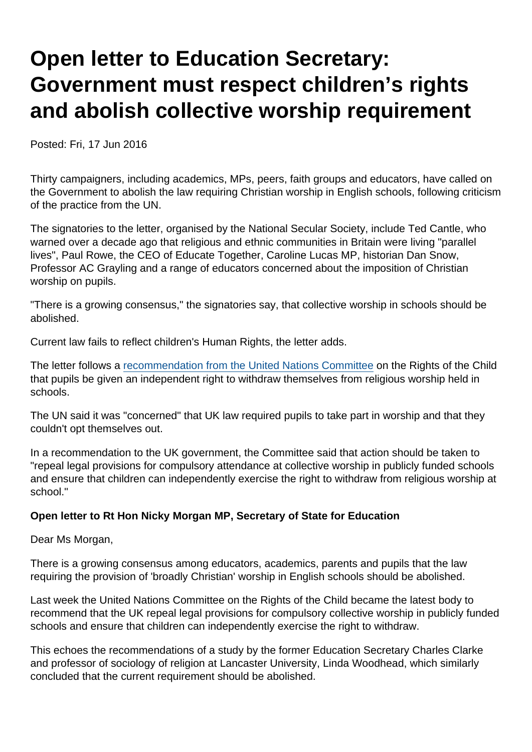## Open letter to Education Secretary: Government must respect children's rights and abolish collective worship requirement

Posted: Fri, 17 Jun 2016

Thirty campaigners, including academics, MPs, peers, faith groups and educators, have called on the Government to abolish the law requiring Christian worship in English schools, following criticism of the practice from the UN.

The signatories to the letter, organised by the National Secular Society, include Ted Cantle, who warned over a decade ago that religious and ethnic communities in Britain were living "parallel lives", Paul Rowe, the CEO of Educate Together, Caroline Lucas MP, historian Dan Snow, Professor AC Grayling and a range of educators concerned about the imposition of Christian worship on pupils.

"There is a growing consensus," the signatories say, that collective worship in schools should be abolished.

Current law fails to reflect children's Human Rights, the letter adds.

The letter follows a [recommendation from the United Nations Committee](https://www.secularism.org.uk/news/2016/06/un-childrens-rights-committee-calls-on-uk-to-abolish-compulsory-worship-in-schools) on the Rights of the Child that pupils be given an independent right to withdraw themselves from religious worship held in schools.

The UN said it was "concerned" that UK law required pupils to take part in worship and that they couldn't opt themselves out.

In a recommendation to the UK government, the Committee said that action should be taken to "repeal legal provisions for compulsory attendance at collective worship in publicly funded schools and ensure that children can independently exercise the right to withdraw from religious worship at school."

Open letter to Rt Hon Nicky Morgan MP, Secretary of State for Education

Dear Ms Morgan,

There is a growing consensus among educators, academics, parents and pupils that the law requiring the provision of 'broadly Christian' worship in English schools should be abolished.

Last week the United Nations Committee on the Rights of the Child became the latest body to recommend that the UK repeal legal provisions for compulsory collective worship in publicly funded schools and ensure that children can independently exercise the right to withdraw.

This echoes the recommendations of a study by the former Education Secretary Charles Clarke and professor of sociology of religion at Lancaster University, Linda Woodhead, which similarly concluded that the current requirement should be abolished.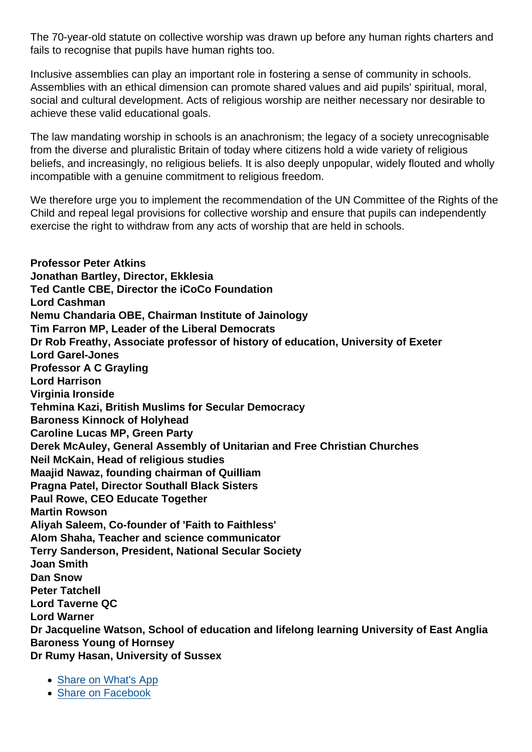The 70-year-old statute on collective worship was drawn up before any human rights charters and fails to recognise that pupils have human rights too.

Inclusive assemblies can play an important role in fostering a sense of community in schools. Assemblies with an ethical dimension can promote shared values and aid pupils' spiritual, moral, social and cultural development. Acts of religious worship are neither necessary nor desirable to achieve these valid educational goals.

The law mandating worship in schools is an anachronism; the legacy of a society unrecognisable from the diverse and pluralistic Britain of today where citizens hold a wide variety of religious beliefs, and increasingly, no religious beliefs. It is also deeply unpopular, widely flouted and wholly incompatible with a genuine commitment to religious freedom.

We therefore urge you to implement the recommendation of the UN Committee of the Rights of the Child and repeal legal provisions for collective worship and ensure that pupils can independently exercise the right to withdraw from any acts of worship that are held in schools.

Professor Peter Atkins Jonathan Bartley, Director, Ekklesia Ted Cantle CBE, Director the iCoCo Foundation Lord Cashman Nemu Chandaria OBE, Chairman Institute of Jainology Tim Farron MP, Leader of the Liberal Democrats Dr Rob Freathy, Associate professor of history of education, University of Exeter Lord Garel-Jones Professor A C Grayling Lord Harrison Virginia Ironside Tehmina Kazi, British Muslims for Secular Democracy Baroness Kinnock of Holyhead Caroline Lucas MP, Green Party Derek McAuley, General Assembly of Unitarian and Free Christian Churches Neil McKain, Head of religious studies Maajid Nawaz, founding chairman of Quilliam Pragna Patel, Director Southall Black Sisters Paul Rowe, CEO Educate Together Martin Rowson Aliyah Saleem, Co-founder of 'Faith to Faithless' Alom Shaha, Teacher and science communicator Terry Sanderson, President, National Secular Society Joan Smith Dan Snow Peter Tatchell Lord Taverne QC Lord Warner Dr Jacqueline Watson, School of education and lifelong learning University of East Anglia Baroness Young of Hornsey Dr Rumy Hasan, University of Sussex

- [Share on What's App](whatsapp://send?text=http://www.secularism.org.uk/news/2016/06/government-must-respect-childrens-rights-and-abolish-collective-worship-requirement?format=pdf)
- [Share on Facebook](https://www.facebook.com/sharer/sharer.php?u=http://www.secularism.org.uk/news/2016/06/government-must-respect-childrens-rights-and-abolish-collective-worship-requirement?format=pdf&t=Open+letter+to+Education+Secretary:+Government+must+respect+children’s+rights+and+abolish+collective+worship+requirement)